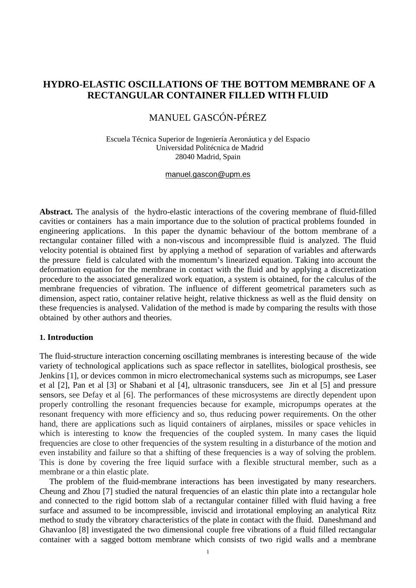# **HYDRO-ELASTIC OSCILLATIONS OF THE BOTTOM MEMBRANE OF A RECTANGULAR CONTAINER FILLED WITH FLUID**

# MANUEL GASCÓN-PÉREZ

Escuela Técnica Superior de Ingeniería Aeronáutica y del Espacio Universidad Politécnica de Madrid 28040 Madrid, Spain

#### [manuel.gascon@upm.es](mailto:manuel.gascon@upm.es)

**Abstract.** The analysis of the hydro-elastic interactions of the covering membrane of fluid-filled cavities or containers has a main importance due to the solution of practical problems founded in engineering applications. In this paper the dynamic behaviour of the bottom membrane of a rectangular container filled with a non-viscous and incompressible fluid is analyzed. The fluid velocity potential is obtained first by applying a method of separation of variables and afterwards the pressure field is calculated with the momentum's linearized equation. Taking into account the deformation equation for the membrane in contact with the fluid and by applying a discretization procedure to the associated generalized work equation, a system is obtained, for the calculus of the membrane frequencies of vibration. The influence of different geometrical parameters such as dimension, aspect ratio, container relative height, relative thickness as well as the fluid density on these frequencies is analysed. Validation of the method is made by comparing the results with those obtained by other authors and theories.

### **1. Introduction**

The fluid-structure interaction concerning oscillating membranes is interesting because of the wide variety of technological applications such as space reflector in satellites, biological prosthesis, see Jenkins [1], or devices common in micro electromechanical systems such as micropumps, see Laser et al [2], Pan et al [3] or Shabani et al [4], ultrasonic transducers, see Jin et al [5] and pressure sensors, see Defay et al [6]. The performances of these microsystems are directly dependent upon properly controlling the resonant frequencies because for example, micropumps operates at the resonant frequency with more efficiency and so, thus reducing power requirements. On the other hand, there are applications such as liquid containers of airplanes, missiles or space vehicles in which is interesting to know the frequencies of the coupled system. In many cases the liquid frequencies are close to other frequencies of the system resulting in a disturbance of the motion and even instability and failure so that a shifting of these frequencies is a way of solving the problem. This is done by covering the free liquid surface with a flexible structural member, such as a membrane or a thin elastic plate.

The problem of the fluid-membrane interactions has been investigated by many researchers. Cheung and Zhou [7] studied the natural frequencies of an elastic thin plate into a rectangular hole and connected to the rigid bottom slab of a rectangular container filled with fluid having a free surface and assumed to be incompressible, inviscid and irrotational employing an analytical Ritz method to study the vibratory characteristics of the plate in contact with the fluid. Daneshmand and Ghavanloo [8] investigated the two dimensional couple free vibrations of a fluid filled rectangular container with a sagged bottom membrane which consists of two rigid walls and a membrane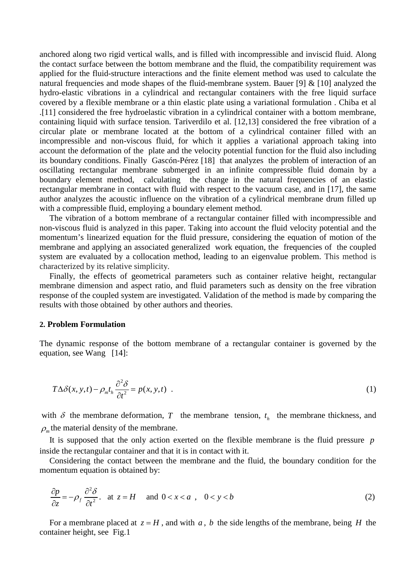anchored along two rigid vertical walls, and is filled with incompressible and inviscid fluid. Along the contact surface between the bottom membrane and the fluid, the compatibility requirement was applied for the fluid-structure interactions and the finite element method was used to calculate the natural frequencies and mode shapes of the fluid-membrane system. Bauer [9]  $&$  [10] analyzed the hydro-elastic vibrations in a cylindrical and rectangular containers with the free liquid surface covered by a flexible membrane or a thin elastic plate using a variational formulation . Chiba et al .[11] considered the free hydroelastic vibration in a cylindrical container with a bottom membrane, containing liquid with surface tension. Tariverdilo et al. [12,13] considered the free vibration of a circular plate or membrane located at the bottom of a cylindrical container filled with an incompressible and non-viscous fluid, for which it applies a variational approach taking into account the deformation of the plate and the velocity potential function for the fluid also including its boundary conditions. Finally Gascón-Pérez [18] that analyzes the problem of interaction of an oscillating rectangular membrane submerged in an infinite compressible fluid domain by a boundary element method, calculating the change in the natural frequencies of an elastic rectangular membrane in contact with fluid with respect to the vacuum case, and in [17], the same author analyzes the acoustic influence on the vibration of a cylindrical membrane drum filled up with a compressible fluid, employing a boundary element method.

The vibration of a bottom membrane of a rectangular container filled with incompressible and non-viscous fluid is analyzed in this paper. Taking into account the fluid velocity potential and the momentum's linearized equation for the fluid pressure, considering the equation of motion of the membrane and applying an associated generalized work equation, the frequencies of the coupled system are evaluated by a collocation method, leading to an eigenvalue problem. This method is characterized by its relative simplicity.

Finally, the effects of geometrical parameters such as container relative height, rectangular membrane dimension and aspect ratio, and fluid parameters such as density on the free vibration response of the coupled system are investigated. Validation of the method is made by comparing the results with those obtained by other authors and theories.

## **2. Problem Formulation**

The dynamic response of the bottom membrane of a rectangular container is governed by the equation, see Wang [14]:

$$
T\Delta\delta(x, y, t) - \rho_m t_h \frac{\partial^2 \delta}{\partial t^2} = p(x, y, t) \quad . \tag{1}
$$

with  $\delta$  the membrane deformation,  $T$  the membrane tension,  $t<sub>h</sub>$  the membrane thickness, and  $\rho_m$  the material density of the membrane.

It is supposed that the only action exerted on the flexible membrane is the fluid pressure *p* inside the rectangular container and that it is in contact with it.

Considering the contact between the membrane and the fluid, the boundary condition for the momentum equation is obtained by:

$$
\frac{\partial p}{\partial z} = -\rho_f \frac{\partial^2 \delta}{\partial t^2}, \text{ at } z = H \text{ and } 0 < x < a , \quad 0 < y < b
$$
 (2)

For a membrane placed at  $z = H$ , and with *a*, *b* the side lengths of the membrane, being *H* the container height, see Fig.1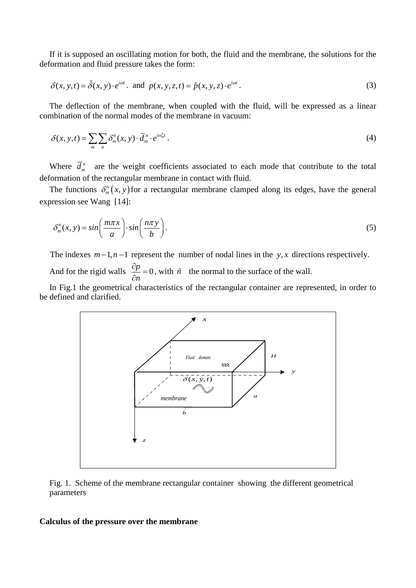If it is supposed an oscillating motion for both, the fluid and the membrane, the solutions for the deformation and fluid pressure takes the form:

$$
\delta(x, y, t) = \tilde{\delta}(x, y) \cdot e^{i\omega t}. \text{ and } p(x, y, z, t) = \tilde{p}(x, y, z) \cdot e^{i\omega t}. \tag{3}
$$

The deflection of the membrane, when coupled with the fluid, will be expressed as a linear combination of the normal modes of the membrane in vacuum:

$$
\delta(x, y, t) = \sum_{m} \sum_{n} \delta_m^n(x, y) \cdot \overline{d}_m^n \cdot e^{i\omega_m^n t} \,. \tag{4}
$$

Where  $\overline{d}_m^n$  are the weight coefficients associated to each mode that contribute to the total deformation of the rectangular membrane in contact with fluid.

The functions  $\delta_m^n(x, y)$  for a rectangular membrane clamped along its edges, have the general expression see Wang [14]:

$$
\delta_m^n(x, y) = \sin\left(\frac{m\pi x}{a}\right) \cdot \sin\left(\frac{n\pi y}{b}\right). \tag{5}
$$

The indexes  $m-1$ ,  $n-1$  represent the number of nodal lines in the *y*, *x* directions respectively.

And for the rigid walls  $\frac{\partial p}{\partial r} = 0$  $\frac{\partial p}{\partial n} = 0$ , with  $\vec{n}$  the normal to the surface of the wall.

In Fig.1 the geometrical characteristics of the rectangular container are represented, in order to be defined and clarified.



Fig. 1. Scheme of the membrane rectangular container showing the different geometrical parameters

### **Calculus of the pressure over the membrane**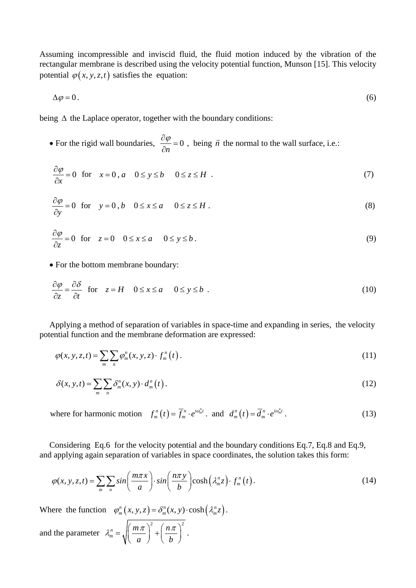Assuming incompressible and inviscid fluid, the fluid motion induced by the vibration of the rectangular membrane is described using the velocity potential function, Munson [15]. This velocity potential  $\varphi(x, y, z, t)$  satisfies the equation:

$$
\Delta \varphi = 0. \tag{6}
$$

being ∆ the Laplace operator, together with the boundary conditions:

• For the rigid wall boundaries,  $\frac{\partial \varphi}{\partial z} = 0$  $\frac{\partial \varphi}{\partial n} = 0$ , being  $\vec{n}$  the normal to the wall surface, i.e.:

$$
\frac{\partial \varphi}{\partial x} = 0 \quad \text{for} \quad x = 0 \,, \, a \quad 0 \le y \le b \quad 0 \le z \le H \tag{7}
$$

$$
\frac{\partial \varphi}{\partial y} = 0 \quad \text{for} \quad y = 0, b \quad 0 \le x \le a \quad 0 \le z \le H \tag{8}
$$

$$
\frac{\partial \varphi}{\partial z} = 0 \quad \text{for} \quad z = 0 \quad 0 \le x \le a \quad 0 \le y \le b \,. \tag{9}
$$

• For the bottom membrane boundary:

$$
\frac{\partial \varphi}{\partial z} = \frac{\partial \delta}{\partial t} \quad \text{for} \quad z = H \quad 0 \le x \le a \quad 0 \le y \le b \tag{10}
$$

Applying a method of separation of variables in space-time and expanding in series, the velocity potential function and the membrane deformation are expressed:

$$
\varphi(x, y, z, t) = \sum_{m} \sum_{n} \varphi_m^n(x, y, z) \cdot f_m^n(t).
$$
\n(11)

$$
\delta(x, y, t) = \sum_{m} \sum_{n} \delta_m^n(x, y) \cdot d_m^n(t).
$$
\n(12)

where for harmonic motion  $f_m^n(t) = \overline{f}_m^n \cdot e^{i\omega_m^n t}$  and  $d_m^n(t) = \overline{d}_m^n \cdot e^{i\omega_m^n t}$ . (13)

Considering Eq.6 for the velocity potential and the boundary conditions Eq.7, Eq.8 and Eq.9, and applying again separation of variables in space coordinates, the solution takes this form:

$$
\varphi(x, y, z, t) = \sum_{m} \sum_{n} \sin\left(\frac{m\pi x}{a}\right) \cdot \sin\left(\frac{n\pi y}{b}\right) \cosh\left(\lambda_{m}^{n} z\right) \cdot f_{m}^{n}(t). \tag{14}
$$

Where the function  $\varphi_m^n(x, y, z) = \delta_m^n(x, y) \cdot \cosh(\lambda_m^n z)$ . and the parameter 2  $\wedge$   $\vee$  2 *n m*  $m\pi$ <sup>2</sup> (*n*  $\lambda_m^n = \sqrt{\left(\frac{m\pi}{a}\right)^2 + \left(\frac{n\pi}{b}\right)^2}$ .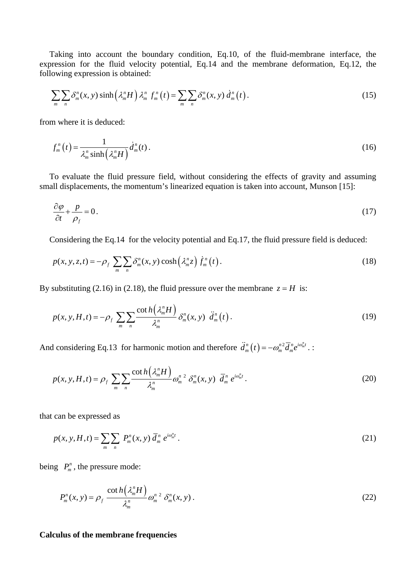Taking into account the boundary condition, Eq.10, of the fluid-membrane interface, the expression for the fluid velocity potential, Eq.14 and the membrane deformation, Eq.12, the following expression is obtained:

$$
\sum_{m}\sum_{n}\delta_{m}^{n}(x, y) \sinh\left(\lambda_{m}^{n}H\right)\lambda_{m}^{n} f_{m}^{n}(t) = \sum_{m}\sum_{n}\delta_{m}^{n}(x, y) \dot{d}_{m}^{n}(t).
$$
\n(15)

from where it is deduced:

$$
f_m^n(t) = \frac{1}{\lambda_m^n \sinh\left(\lambda_m^n H\right)} \dot{d}_m^n(t) \,. \tag{16}
$$

To evaluate the fluid pressure field, without considering the effects of gravity and assuming small displacements, the momentum's linearized equation is taken into account, Munson [15]:

$$
\frac{\partial \varphi}{\partial t} + \frac{p}{\rho_f} = 0. \tag{17}
$$

Considering the Eq.14 for the velocity potential and Eq.17, the fluid pressure field is deduced:

$$
p(x, y, z, t) = -\rho_f \sum_{m} \sum_{n} \delta_m^n(x, y) \cosh\left(\lambda_m^n z\right) \dot{f}_m^n(t).
$$
 (18)

By substituting (2.16) in (2.18), the fluid pressure over the membrane  $z = H$  is:

$$
p(x, y, H, t) = -\rho_f \sum_{m} \sum_{n} \frac{\cot h\left(\lambda_m^n H\right)}{\lambda_m^n} \delta_m^n(x, y) \ddot{d}_m^n(t). \tag{19}
$$

And considering Eq.13 for harmonic motion and therefore  $\ddot{d}_m^n(t) = -\omega_m^{n^2} \overline{d}_m^n e^{i\omega_m^n t}$ .

$$
p(x, y, H, t) = \rho_f \sum_{m} \sum_{n} \frac{\cot h\left(\lambda_m^n H\right)}{\lambda_m^n} \omega_m^{n} \delta_m^n(x, y) \overline{d}_m^n e^{i\omega_m^n t}.
$$
 (20)

that can be expressed as

$$
p(x, y, H, t) = \sum_{m} \sum_{n} P_{m}^{n}(x, y) \, \bar{d}_{m}^{n} \, e^{i\omega_{m}^{n}t} \,. \tag{21}
$$

being  $P_m^n$ , the pressure mode:

$$
P_m^n(x, y) = \rho_f \frac{\cot h\left(\lambda_m^n H\right)}{\lambda_m^n} \omega_m^{n^2} \delta_m^n(x, y) \,. \tag{22}
$$

## **Calculus of the membrane frequencies**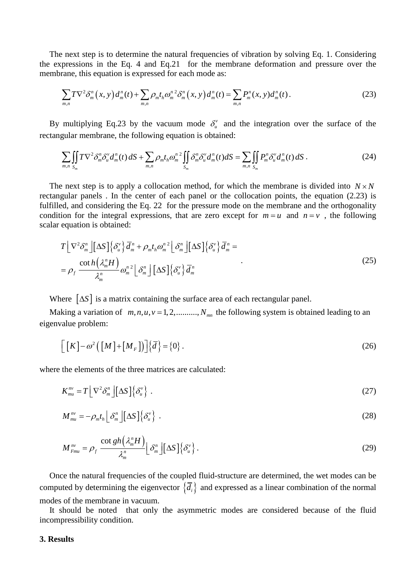The next step is to determine the natural frequencies of vibration by solving Eq. 1. Considering the expressions in the Eq. 4 and Eq.21 for the membrane deformation and pressure over the membrane, this equation is expressed for each mode as:

$$
\sum_{m,n} T \nabla^2 \delta_m^n(x, y) d_m^n(t) + \sum_{m,n} \rho_m t_n \omega_m^{n} \delta_m^n(x, y) d_m^n(t) = \sum_{m,n} P_m^n(x, y) d_m^n(t). \tag{23}
$$

By multiplying Eq.23 by the vacuum mode  $\delta_{\mu}^{\nu}$  and the integration over the surface of the rectangular membrane, the following equation is obtained:

$$
\sum_{m,n}\iint_{S_m}T\nabla^2\delta_m^n\delta_u^n d_m^n(t)\,dS + \sum_{m,n}\rho_m t_n\omega_m^{n^2}\iint_{S_m}\delta_m^n\delta_u^n d_m^n(t)\,dS = \sum_{m,n}\iint_{S_m}P_n^n\delta_u^n d_m^n(t)\,dS\,. \tag{24}
$$

The next step is to apply a collocation method, for which the membrane is divided into  $N \times N$ rectangular panels . In the center of each panel or the collocation points, the equation (2.23) is fulfilled, and considering the Eq. 22 for the pressure mode on the membrane and the orthogonality condition for the integral expressions, that are zero except for  $m = u$  and  $n = v$ , the following scalar equation is obtained:

$$
T\left[\nabla^2 \delta_m^n\right] \left[\Delta S\right] \left\{\delta_u^v\right\} \overline{d}_m^n + \rho_m t_h \omega_m^{n^2} \left[\delta_m^n\right] \left[\Delta S\right] \left\{\delta_u^v\right\} \overline{d}_m^n =
$$
\n
$$
= \rho_f \frac{\cot h\left(\lambda_m^n H\right)}{\lambda_m^n} \omega_m^{n^2} \left[\delta_m^n\right] \left[\Delta S\right] \left\{\delta_u^v\right\} \overline{d}_m^n
$$
\n
$$
(25)
$$

Where [∆*S*] is a matrix containing the surface area of each rectangular panel.

Making a variation of  $m, n, u, v = 1, 2, \dots, N_{mn}$  the following system is obtained leading to an eigenvalue problem:

$$
\left[ \left[ K \right] - \omega^2 \left( \left[ M \right] + \left[ M_F \right] \right) \right] \left\{ \overline{d} \right\} = \left\{ 0 \right\}. \tag{26}
$$

where the elements of the three matrices are calculated:

$$
K_{mu}^{nv} = T \left[ \nabla^2 \delta_m^n \right] \left[ \Delta S \right] \left\{ \delta_v^v \right\} \,. \tag{27}
$$

$$
M_{\scriptscriptstyle{mu}}^{\scriptscriptstyle{nv}} = -\rho_{\scriptscriptstyle{m}} t_{\scriptscriptstyle{h}} \left[ \delta_{\scriptscriptstyle{m}}^{\scriptscriptstyle{v}} \right] \left[ \Delta S \right] \left\{ \delta_{\scriptscriptstyle{u}}^{\scriptscriptstyle{v}} \right\} \ . \tag{28}
$$

$$
M_{Fmu}^{nv} = \rho_f \frac{\cot gh(\lambda_m^n H)}{\lambda_m^n} \Big[ \delta_m^n \Big] [\Delta S] {\delta_u^v}.
$$
 (29)

Once the natural frequencies of the coupled fluid-structure are determined, the wet modes can be computed by determining the eigenvector  $\{\overline{d}_i\}$  and expressed as a linear combination of the normal modes of the membrane in vacuum.

It should be noted that only the asymmetric modes are considered because of the fluid incompressibility condition.

### **3. Results**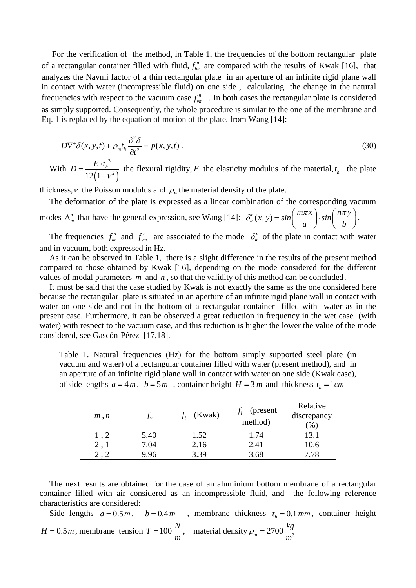For the verification of the method, in Table 1, the frequencies of the bottom rectangular plate of a rectangular container filled with fluid,  $f_{lm}^n$  are compared with the results of Kwak [16], that analyzes the Navmi factor of a thin rectangular plate in an aperture of an infinite rigid plane wall in contact with water (incompressible fluid) on one side , calculating the change in the natural frequencies with respect to the vacuum case  $f_{vm}^n$ . In both cases the rectangular plate is considered as simply supported. Consequently, the whole procedure is similar to the one of the membrane and Eq. 1 is replaced by the equation of motion of the plate, from Wang [14]:

$$
D\nabla^4 \delta(x, y, t) + \rho_m t_h \frac{\partial^2 \delta}{\partial t^2} = p(x, y, t).
$$
\n(30)

With  $D = \frac{E V_h}{12(1 - v^2)}$ 3  $12(1-v^2)$  $D = \frac{E \cdot t_h^3}{12(1 - v^2)}$  the flexural rigidity, *E* the elasticity modulus of the material,  $t_h$  the plate

thickness,  $\nu$  the Poisson modulus and  $\rho_m$  the material density of the plate.

The deformation of the plate is expressed as a linear combination of the corresponding vacuum

modes  $\Delta_m^n$  that have the general expression, see Wang [14]:  $\delta_m^n(x, y) = \sin\left(\frac{m\pi x}{a}\right) \cdot \sin\left(\frac{n\pi y}{b}\right)$ .

The frequencies  $f_{lm}^n$  and  $f_{vm}^n$  are associated to the mode  $\delta_m^n$  of the plate in contact with water and in vacuum, both expressed in Hz.

As it can be observed in Table 1, there is a slight difference in the results of the present method compared to those obtained by Kwak [16], depending on the mode considered for the different values of modal parameters *m* and *n* , so that the validity of this method can be concluded.

It must be said that the case studied by Kwak is not exactly the same as the one considered here because the rectangular plate is situated in an aperture of an infinite rigid plane wall in contact with water on one side and not in the bottom of a rectangular container filled with water as in the present case. Furthermore, it can be observed a great reduction in frequency in the wet case (with water) with respect to the vacuum case, and this reduction is higher the lower the value of the mode considered, see Gascón-Pérez [17,18].

Table 1. Natural frequencies (Hz) for the bottom simply supported steel plate (in vacuum and water) of a rectangular container filled with water (present method), and in an aperture of an infinite rigid plane wall in contact with water on one side (Kwak case), of side lengths  $a = 4m$ ,  $b = 5m$ , container height  $H = 3m$  and thickness  $t<sub>h</sub> = 1cm$ 

| m, n      |      | (Kwak) | (present)<br>method) | Relative<br>discrepancy<br>$\frac{1}{2}$ |
|-----------|------|--------|----------------------|------------------------------------------|
| 1, 2      | 5.40 | 1.52   | 1.74                 | 13.1                                     |
| $2\,,\,1$ | 7.04 | 2.16   | 2.41                 | 10.6                                     |
|           | 9.96 | 3.39   | 3.68                 | 7.78                                     |

The next results are obtained for the case of an aluminium bottom membrane of a rectangular container filled with air considered as an incompressible fluid, and the following reference characteristics are considered:

Side lengths  $a = 0.5 m$ ,  $b = 0.4 m$ , membrane thickness  $t<sub>h</sub> = 0.1 mm$ , container height  $H = 0.5 m$ , membrane tension  $T = 100 \frac{N}{m}$ , material density  $\rho_m = 2700 \frac{kg}{m^3}$ *m*  $\rho_m =$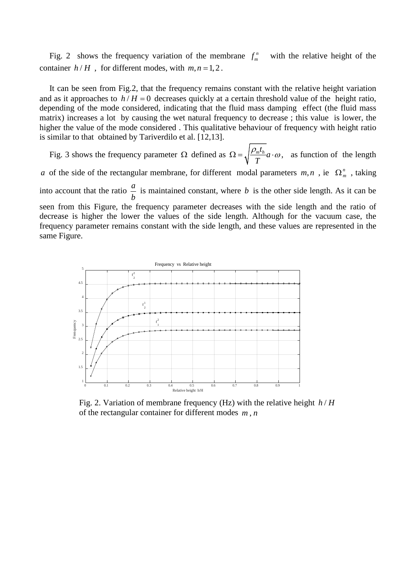Fig. 2 shows the frequency variation of the membrane  $f_m^n$ with the relative height of the container  $h/H$ , for different modes, with  $m, n = 1, 2$ .

It can be seen from Fig.2, that the frequency remains constant with the relative height variation and as it approaches to  $h/H = 0$  decreases quickly at a certain threshold value of the height ratio, depending of the mode considered, indicating that the fluid mass damping effect (the fluid mass matrix) increases a lot by causing the wet natural frequency to decrease ; this value is lower, the higher the value of the mode considered . This qualitative behaviour of frequency with height ratio is similar to that obtained by Tariverdilo et al. [12,13].

Fig. 3 shows the frequency parameter Ω defined as  $Ω = \sqrt{\frac{\rho_m t_h}{T} a}$ *T*  $\Omega = \sqrt{\frac{\rho_m t_h}{T}} a \cdot \omega$ , as function of the length *a* of the side of the rectangular membrane, for different modal parameters  $m, n$ , ie  $\Omega_m^n$ , taking into account that the ratio  $\frac{a}{b}$  is maintained constant, where *b* is the other side length. As it can be seen from this Figure, the frequency parameter decreases with the side length and the ratio of decrease is higher the lower the values of the side length. Although for the vacuum case, the frequency parameter remains constant with the side length, and these values are represented in the same Figure.



Fig. 2. Variation of membrane frequency (Hz) with the relative height *h* / *H* of the rectangular container for different modes  $m, n$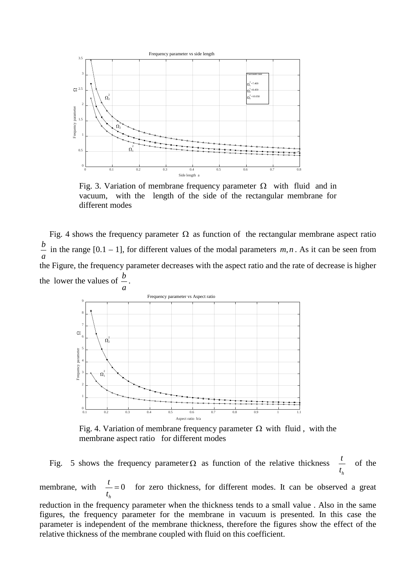

Fig. 3. Variation of membrane frequency parameter  $\Omega$  with fluid and in vacuum, with the length of the side of the rectangular membrane for different modes

Fig. 4 shows the frequency parameter  $\Omega$  as function of the rectangular membrane aspect ratio *b a* in the range  $[0.1 - 1]$ , for different values of the modal parameters  $m, n$ . As it can be seen from the Figure, the frequency parameter decreases with the aspect ratio and the rate of decrease is higher the lower the values of  $\frac{b}{a}$ .



Fig. 4. Variation of membrane frequency parameter  $\Omega$  with fluid, with the membrane aspect ratio for different modes

Fig. 5 shows the frequency parameter  $\Omega$  as function of the relative thickness *h*  $\frac{t}{t_h}$  of the membrane, with  $\stackrel{\cdot}{\phantom{+}}=0$ *h*  $\frac{t}{t_h} = 0$  for zero thickness, for different modes. It can be observed a great reduction in the frequency parameter when the thickness tends to a small value . Also in the same figures, the frequency parameter for the membrane in vacuum is presented. In this case the parameter is independent of the membrane thickness, therefore the figures show the effect of the relative thickness of the membrane coupled with fluid on this coefficient.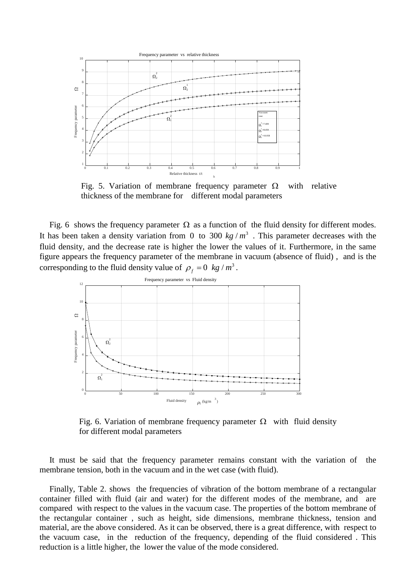

Fig. 5. Variation of membrane frequency parameter  $\Omega$  with relative thickness of the membrane for different modal parameters

Fig. 6 shows the frequency parameter  $\Omega$  as a function of the fluid density for different modes. It has been taken a density variation from 0 to 300  $kg/m^3$ . This parameter decreases with the fluid density, and the decrease rate is higher the lower the values of it. Furthermore, in the same figure appears the frequency parameter of the membrane in vacuum (absence of fluid) , and is the corresponding to the fluid density value of  $\rho_f = 0$  kg /  $m^3$ .



Fig. 6. Variation of membrane frequency parameter  $\Omega$  with fluid density for different modal parameters

It must be said that the frequency parameter remains constant with the variation of the membrane tension, both in the vacuum and in the wet case (with fluid).

Finally, Table 2. shows the frequencies of vibration of the bottom membrane of a rectangular container filled with fluid (air and water) for the different modes of the membrane, and are compared with respect to the values in the vacuum case. The properties of the bottom membrane of the rectangular container , such as height, side dimensions, membrane thickness, tension and material, are the above considered. As it can be observed, there is a great difference, with respect to the vacuum case, in the reduction of the frequency, depending of the fluid considered . This reduction is a little higher, the lower the value of the mode considered.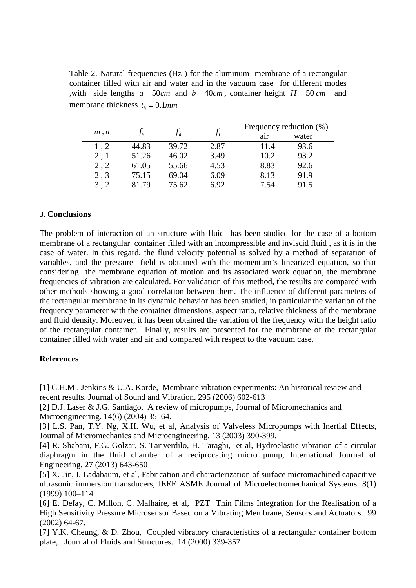Table 2. Natural frequencies (Hz ) for the aluminum membrane of a rectangular container filled with air and water and in the vacuum case for different modes ,with side lengths  $a = 50cm$  and  $b = 40cm$ , container height  $H = 50 cm$  and membrane thickness  $t<sub>h</sub> = 0.1$ *mm* 

|      |       |       |      | Frequency reduction (%) |       |
|------|-------|-------|------|-------------------------|-------|
| m, n |       |       |      | a <sub>1</sub> r        | water |
| 1,2  | 44.83 | 39.72 | 2.87 | 11.4                    | 93.6  |
| 2, 1 | 51.26 | 46.02 | 3.49 | 10.2                    | 93.2  |
| 2, 2 | 61.05 | 55.66 | 4.53 | 8.83                    | 92.6  |
| 2,3  | 75.15 | 69.04 | 6.09 | 8.13                    | 91.9  |
|      | 81.79 | 75.62 | 6.92 | 7.54                    | 91.5  |

## **3. Conclusions**

The problem of interaction of an structure with fluid has been studied for the case of a bottom membrane of a rectangular container filled with an incompressible and inviscid fluid , as it is in the case of water. In this regard, the fluid velocity potential is solved by a method of separation of variables, and the pressure field is obtained with the momentum's linearized equation, so that considering the membrane equation of motion and its associated work equation, the membrane frequencies of vibration are calculated. For validation of this method, the results are compared with other methods showing a good correlation between them. The influence of different parameters of the rectangular membrane in its dynamic behavior has been studied, in particular the variation of the frequency parameter with the container dimensions, aspect ratio, relative thickness of the membrane and fluid density. Moreover, it has been obtained the variation of the frequency with the height ratio of the rectangular container. Finally, results are presented for the membrane of the rectangular container filled with water and air and compared with respect to the vacuum case.

## **References**

[1] C.H.M . Jenkins & U.A. Korde, Membrane vibration experiments: An historical review and recent results, Journal of Sound and Vibration. 295 (2006) 602-613

[2] D.J. Laser & J.G. Santiago, A review of micropumps, Journal of Micromechanics and Microengineering. 14(6) (2004) 35–64.

[3] L.S. Pan, T.Y. Ng, X.H. Wu, et al, Analysis of Valveless Micropumps with Inertial Effects, Journal of Micromechanics and Microengineering. 13 (2003) 390-399.

[4] R. Shabani, F.G. Golzar, S. Tariverdilo, H. Taraghi, et al, Hydroelastic vibration of a circular diaphragm in the fluid chamber of a reciprocating micro pump, International Journal of Engineering. 27 (2013) 643-650

[5] X. Jin, I. Ladabaum, et al, Fabrication and characterization of surface micromachined capacitive ultrasonic immersion transducers, IEEE ASME Journal of Microelectromechanical Systems. 8(1) (1999) 100–114

[6] E. Defay, C. Millon, C. Malhaire, et al, PZT Thin Films Integration for the Realisation of a High Sensitivity Pressure Microsensor Based on a Vibrating Membrane, Sensors and Actuators. 99 (2002) 64-67.

[7] Y.K. Cheung, & D. Zhou, Coupled vibratory characteristics of a rectangular container bottom plate, Journal of Fluids and Structures. 14 (2000) 339-357